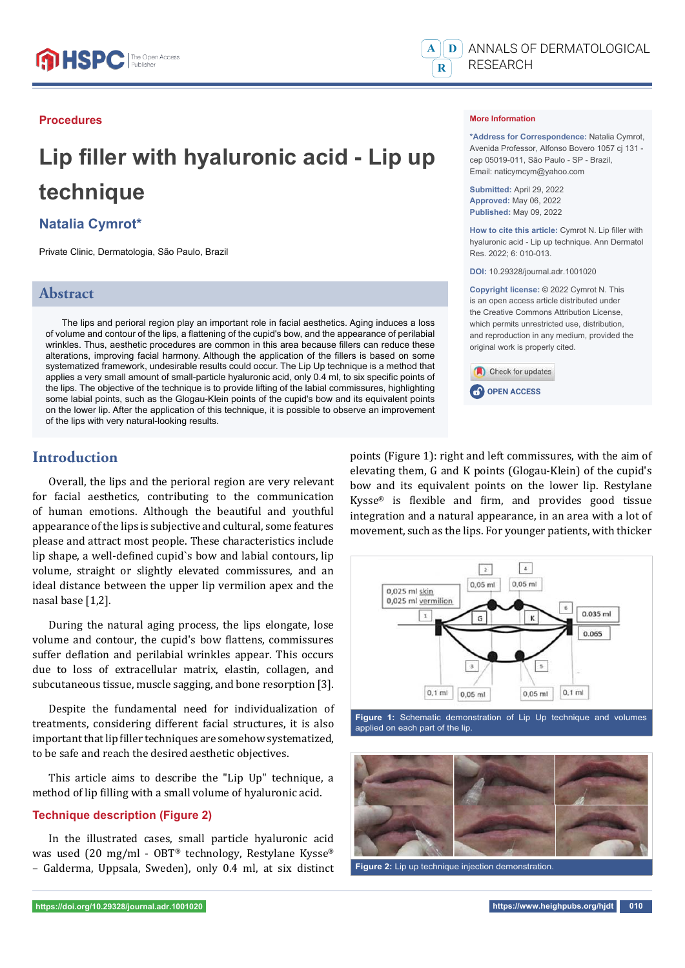#### **Procedures**

# Lip filler with hyaluronic acid - Lip up **technique**

## **Natalia Cymrot\***

Private Clinic, Dermatologia, São Paulo, Brazil

## **Abstract**

The lips and perioral region play an important role in facial aesthetics. Aging induces a loss of volume and contour of the lips, a flattening of the cupid's bow, and the appearance of perilabial wrinkles. Thus, aesthetic procedures are common in this area because fillers can reduce these alterations, improving facial harmony. Although the application of the fillers is based on some systematized framework, undesirable results could occur. The Lip Up technique is a method that applies a very small amount of small-particle hyaluronic acid, only 0.4 ml, to six specific points of the lips. The objective of the technique is to provide lifting of the labial commissures, highlighting some labial points, such as the Glogau-Klein points of the cupid's bow and its equivalent points on the lower lip. After the application of this technique, it is possible to observe an improvement of the lips with very natural-looking results.

#### **Introduction**

Overall, the lips and the perioral region are very relevant for facial aesthetics, contributing to the communication of human emotions. Although the beautiful and youthful appearance of the lips is subjective and cultural, some features please and attract most people. These characteristics include lip shape, a well-defined cupid`s bow and labial contours, lip volume, straight or slightly elevated commissures, and an ideal distance between the upper lip vermilion apex and the nasal base [1,2].

During the natural aging process, the lips elongate, lose volume and contour, the cupid's bow flattens, commissures suffer deflation and perilabial wrinkles appear. This occurs due to loss of extracellular matrix, elastin, collagen, and subcutaneous tissue, muscle sagging, and bone resorption [3].

Despite the fundamental need for individualization of treatments, considering different facial structures, it is also important that lip filler techniques are somehow systematized, to be safe and reach the desired aesthetic objectives.

This article aims to describe the "Lip Up" technique, a method of lip filling with a small volume of hyaluronic acid.

#### **Technique description (Figure 2)**

In the illustrated cases, small particle hyaluronic acid was used (20 mg/ml - OBT® technology, Restylane Kysse® – Galderma, Uppsala, Sweden), only 0.4 ml, at six distinct



**C.P.** OPEN ACCESS

Check for updates



**Figure 1:** Schematic demonstration of Lip Up technique and volumes applied on each part of the lip.



**Figure 2:** Lip up technique injection demonstration.



#### **More Information**

**\*Address for Correspondence:** Natalia Cymrot, Avenida Professor, Alfonso Bovero 1057 cj 131 cep 05019-011, São Paulo - SP - Brazil, Email: naticymcym@yahoo.com

**Submitted:** April 29, 2022 **Approved:** May 06, 2022 **Published:** May 09, 2022

How to cite this article: Cymrot N. Lip filler with hyaluronic acid - Lip up technique. Ann Dermatol Res. 2022; 6: 010-013.

**DOI:** 10.29328/journal.adr.1001020

**Copyright license: ©** 2022 Cymrot N. This is an open access article distributed under the Creative Commons Attribution License, which permits unrestricted use, distribution, and reproduction in any medium, provided the original work is properly cited.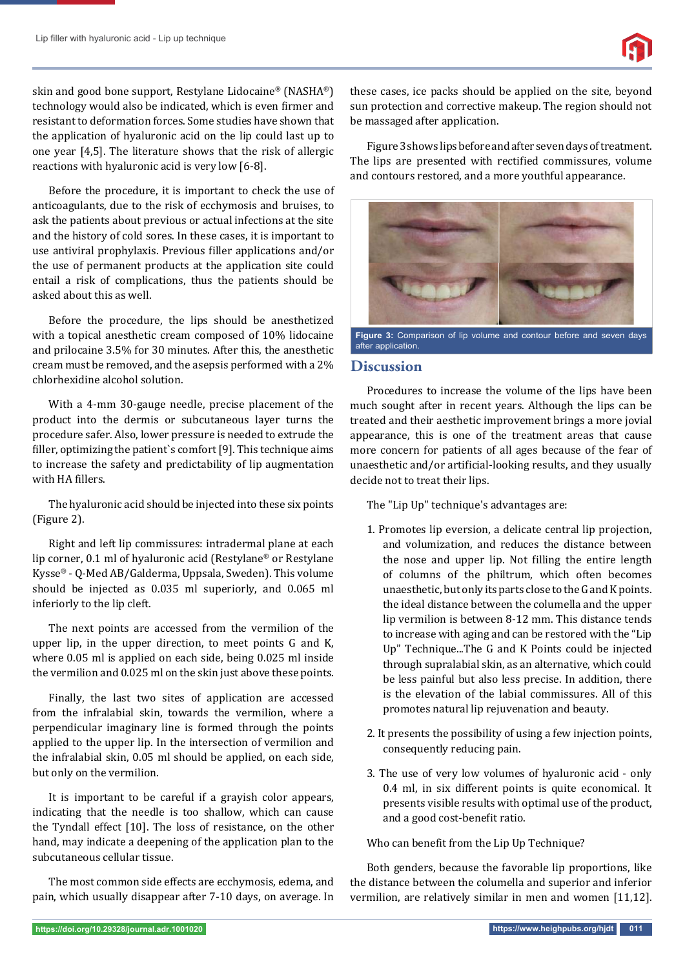skin and good bone support, Restylane Lidocaine® (NASHA®) technology would also be indicated, which is even firmer and resistant to deformation forces. Some studies have shown that the application of hyaluronic acid on the lip could last up to one year [4,5]. The literature shows that the risk of allergic reactions with hyaluronic acid is very low [6-8].

Before the procedure, it is important to check the use of anticoagulants, due to the risk of ecchymosis and bruises, to ask the patients about previous or actual infections at the site and the history of cold sores. In these cases, it is important to use antiviral prophylaxis. Previous filler applications and/or the use of permanent products at the application site could entail a risk of complications, thus the patients should be asked about this as well.

Before the procedure, the lips should be anesthetized with a topical anesthetic cream composed of 10% lidocaine and prilocaine 3.5% for 30 minutes. After this, the anesthetic cream must be removed, and the asepsis performed with a 2% chlorhexidine alcohol solution.

With a 4-mm 30-gauge needle, precise placement of the product into the dermis or subcutaneous layer turns the procedure safer. Also, lower pressure is needed to extrude the filler, optimizing the patient's comfort [9]. This technique aims to increase the safety and predictability of lip augmentation with HA fillers.

The hyaluronic acid should be injected into these six points (Figure 2).

Right and left lip commissures: intradermal plane at each lip corner, 0.1 ml of hyaluronic acid (Restylane® or Restylane Kysse® - Q-Med AB/Galderma, Uppsala, Sweden). This volume should be injected as 0.035 ml superiorly, and 0.065 ml inferiorly to the lip cleft.

The next points are accessed from the vermilion of the upper lip, in the upper direction, to meet points G and K, where 0.05 ml is applied on each side, being 0.025 ml inside the vermilion and 0.025 ml on the skin just above these points.

Finally, the last two sites of application are accessed from the infralabial skin, towards the vermilion, where a perpendicular imaginary line is formed through the points applied to the upper lip. In the intersection of vermilion and the infralabial skin, 0.05 ml should be applied, on each side, but only on the vermilion.

It is important to be careful if a grayish color appears, indicating that the needle is too shallow, which can cause the Tyndall effect [10]. The loss of resistance, on the other hand, may indicate a deepening of the application plan to the subcutaneous cellular tissue.

The most common side effects are ecchymosis, edema, and pain, which usually disappear after 7-10 days, on average. In

these cases, ice packs should be applied on the site, beyond sun protection and corrective makeup. The region should not be massaged after application.

Figure 3 shows lips before and after seven days of treatment. The lips are presented with rectified commissures, volume and contours restored, and a more youthful appearance.



**Figure 3:** Comparison of lip volume and contour before and seven days after application.

## **Discussion**

Procedures to increase the volume of the lips have been much sought after in recent years. Although the lips can be treated and their aesthetic improvement brings a more jovial appearance, this is one of the treatment areas that cause more concern for patients of all ages because of the fear of unaesthetic and/or artificial-looking results, and they usually decide not to treat their lips.

The "Lip Up" technique's advantages are:

- 1. Promotes lip eversion, a delicate central lip projection, and volumization, and reduces the distance between the nose and upper lip. Not filling the entire length of columns of the philtrum, which often becomes unaesthetic, but only its parts close to the G and K points. the ideal distance between the columella and the upper lip vermilion is between 8-12 mm. This distance tends to increase with aging and can be restored with the "Lip Up" Technique...The G and K Points could be injected through supralabial skin, as an alternative, which could be less painful but also less precise. In addition, there is the elevation of the labial commissures. All of this promotes natural lip rejuvenation and beauty.
- 2. It presents the possibility of using a few injection points, consequently reducing pain.
- 3. The use of very low volumes of hyaluronic acid only 0.4 ml, in six different points is quite economical. It presents visible results with optimal use of the product, and a good cost-benefit ratio.

Who can benefit from the Lip Up Technique?

Both genders, because the favorable lip proportions, like the distance between the columella and superior and inferior vermilion, are relatively similar in men and women [11,12].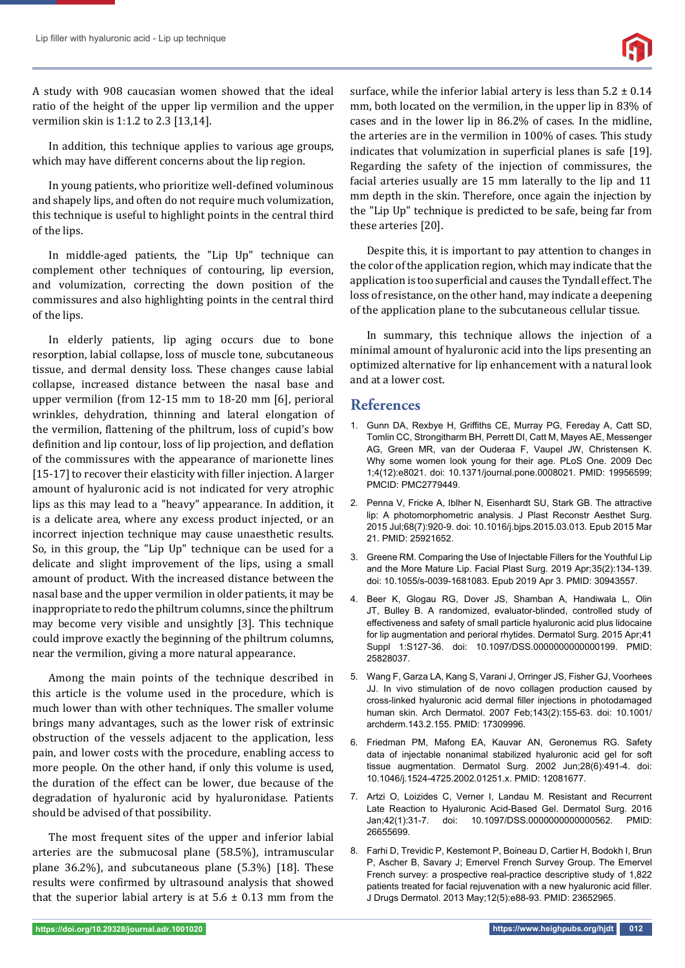

A study with 908 caucasian women showed that the ideal ratio of the height of the upper lip vermilion and the upper vermilion skin is 1:1.2 to 2.3 [13,14].

In addition, this technique applies to various age groups, which may have different concerns about the lip region.

In young patients, who prioritize well-defined voluminous and shapely lips, and often do not require much volumization, this technique is useful to highlight points in the central third of the lips.

In middle-aged patients, the "Lip Up" technique can complement other techniques of contouring, lip eversion, and volumization, correcting the down position of the commissures and also highlighting points in the central third of the lips.

In elderly patients, lip aging occurs due to bone resorption, labial collapse, loss of muscle tone, subcutaneous tissue, and dermal density loss. These changes cause labial collapse, increased distance between the nasal base and upper vermilion (from 12-15 mm to 18-20 mm [6], perioral wrinkles, dehydration, thinning and lateral elongation of the vermilion, flattening of the philtrum, loss of cupid's bow definition and lip contour, loss of lip projection, and deflation of the commissures with the appearance of marionette lines [15-17] to recover their elasticity with filler injection. A larger amount of hyaluronic acid is not indicated for very atrophic lips as this may lead to a "heavy" appearance. In addition, it is a delicate area, where any excess product injected, or an incorrect injection technique may cause unaesthetic results. So, in this group, the "Lip Up" technique can be used for a delicate and slight improvement of the lips, using a small amount of product. With the increased distance between the nasal base and the upper vermilion in older patients, it may be inappropriate to redo the philtrum columns, since the philtrum may become very visible and unsightly [3]. This technique could improve exactly the beginning of the philtrum columns, near the vermilion, giving a more natural appearance.

Among the main points of the technique described in this article is the volume used in the procedure, which is much lower than with other techniques. The smaller volume brings many advantages, such as the lower risk of extrinsic obstruction of the vessels adjacent to the application, less pain, and lower costs with the procedure, enabling access to more people. On the other hand, if only this volume is used, the duration of the effect can be lower, due because of the degradation of hyaluronic acid by hyaluronidase. Patients should be advised of that possibility.

The most frequent sites of the upper and inferior labial arteries are the submucosal plane (58.5%), intramuscular plane 36.2%), and subcutaneous plane (5.3%) [18]. These results were confirmed by ultrasound analysis that showed that the superior labial artery is at  $5.6 \pm 0.13$  mm from the surface, while the inferior labial artery is less than  $5.2 \pm 0.14$ mm, both located on the vermilion, in the upper lip in 83% of cases and in the lower lip in 86.2% of cases. In the midline, the arteries are in the vermilion in 100% of cases. This study indicates that volumization in superficial planes is safe [19]. Regarding the safety of the injection of commissures, the facial arteries usually are 15 mm laterally to the lip and 11 mm depth in the skin. Therefore, once again the injection by the "Lip Up" technique is predicted to be safe, being far from these arteries [20].

Despite this, it is important to pay attention to changes in the color of the application region, which may indicate that the application is too superficial and causes the Tyndall effect. The loss of resistance, on the other hand, may indicate a deepening of the application plane to the subcutaneous cellular tissue.

In summary, this technique allows the injection of a minimal amount of hyaluronic acid into the lips presenting an optimized alternative for lip enhancement with a natural look and at a lower cost.

## **References**

- 1. Gunn DA, Rexbye H, Griffiths CE, Murray PG, Fereday A, Catt SD, Tomlin CC, Strongitharm BH, Perrett DI, Catt M, Mayes AE, Messenger AG, Green MR, van der Ouderaa F, Vaupel JW, Christensen K. Why some women look young for their age. PLoS One. 2009 Dec 1;4(12):e8021. doi: 10.1371/journal.pone.0008021. PMID: 19956599; PMCID: PMC2779449.
- 2. Penna V, Fricke A, Iblher N, Eisenhardt SU, Stark GB. The attractive lip: A photomorphometric analysis. J Plast Reconstr Aesthet Surg. 2015 Jul;68(7):920-9. doi: 10.1016/j.bjps.2015.03.013. Epub 2015 Mar 21. PMID: 25921652.
- 3. Greene RM. Comparing the Use of Injectable Fillers for the Youthful Lip and the More Mature Lip. Facial Plast Surg. 2019 Apr;35(2):134-139. doi: 10.1055/s-0039-1681083. Epub 2019 Apr 3. PMID: 30943557.
- 4. Beer K, Glogau RG, Dover JS, Shamban A, Handiwala L, Olin JT, Bulley B. A randomized, evaluator-blinded, controlled study of effectiveness and safety of small particle hyaluronic acid plus lidocaine for lip augmentation and perioral rhytides. Dermatol Surg. 2015 Apr;41 Suppl 1:S127-36. doi: 10.1097/DSS.0000000000000199. PMID: 25828037.
- 5. Wang F, Garza LA, Kang S, Varani J, Orringer JS, Fisher GJ, Voorhees JJ. In vivo stimulation of de novo collagen production caused by cross-linked hyaluronic acid dermal filler injections in photodamaged human skin. Arch Dermatol. 2007 Feb;143(2):155-63. doi: 10.1001/ archderm.143.2.155. PMID: 17309996.
- 6. Friedman PM, Mafong EA, Kauvar AN, Geronemus RG. Safety data of injectable nonanimal stabilized hyaluronic acid gel for soft tissue augmentation. Dermatol Surg. 2002 Jun;28(6):491-4. doi: 10.1046/j.1524-4725.2002.01251.x. PMID: 12081677.
- 7. Artzi O, Loizides C, Verner I, Landau M. Resistant and Recurrent Late Reaction to Hyaluronic Acid-Based Gel. Dermatol Surg. 2016 Jan;42(1):31-7. doi: 10.1097/DSS.0000000000000562. PMID: 26655699.
- 8. Farhi D, Trevidic P, Kestemont P, Boineau D, Cartier H, Bodokh I, Brun P, Ascher B, Savary J; Emervel French Survey Group. The Emervel French survey: a prospective real-practice descriptive study of 1,822 patients treated for facial rejuvenation with a new hyaluronic acid filler. J Drugs Dermatol. 2013 May;12(5):e88-93. PMID: 23652965.